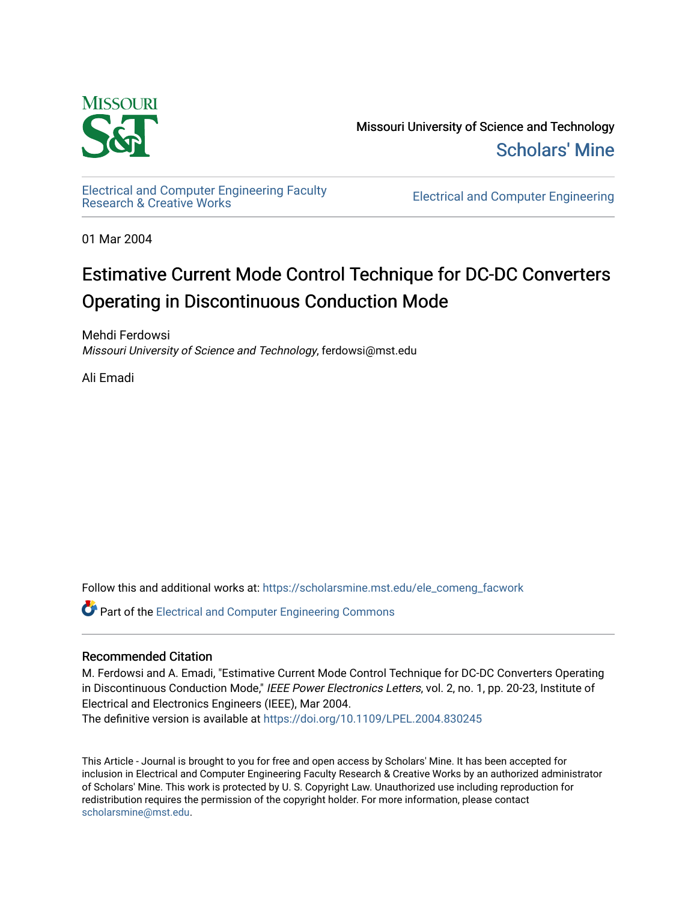

Missouri University of Science and Technology [Scholars' Mine](https://scholarsmine.mst.edu/) 

[Electrical and Computer Engineering Faculty](https://scholarsmine.mst.edu/ele_comeng_facwork)

**Electrical and Computer Engineering** 

01 Mar 2004

# Estimative Current Mode Control Technique for DC-DC Converters Operating in Discontinuous Conduction Mode

Mehdi Ferdowsi Missouri University of Science and Technology, ferdowsi@mst.edu

Ali Emadi

Follow this and additional works at: [https://scholarsmine.mst.edu/ele\\_comeng\\_facwork](https://scholarsmine.mst.edu/ele_comeng_facwork?utm_source=scholarsmine.mst.edu%2Fele_comeng_facwork%2F1029&utm_medium=PDF&utm_campaign=PDFCoverPages)

**C** Part of the Electrical and Computer Engineering Commons

# Recommended Citation

M. Ferdowsi and A. Emadi, "Estimative Current Mode Control Technique for DC-DC Converters Operating in Discontinuous Conduction Mode," IEEE Power Electronics Letters, vol. 2, no. 1, pp. 20-23, Institute of Electrical and Electronics Engineers (IEEE), Mar 2004.

The definitive version is available at <https://doi.org/10.1109/LPEL.2004.830245>

This Article - Journal is brought to you for free and open access by Scholars' Mine. It has been accepted for inclusion in Electrical and Computer Engineering Faculty Research & Creative Works by an authorized administrator of Scholars' Mine. This work is protected by U. S. Copyright Law. Unauthorized use including reproduction for redistribution requires the permission of the copyright holder. For more information, please contact [scholarsmine@mst.edu.](mailto:scholarsmine@mst.edu)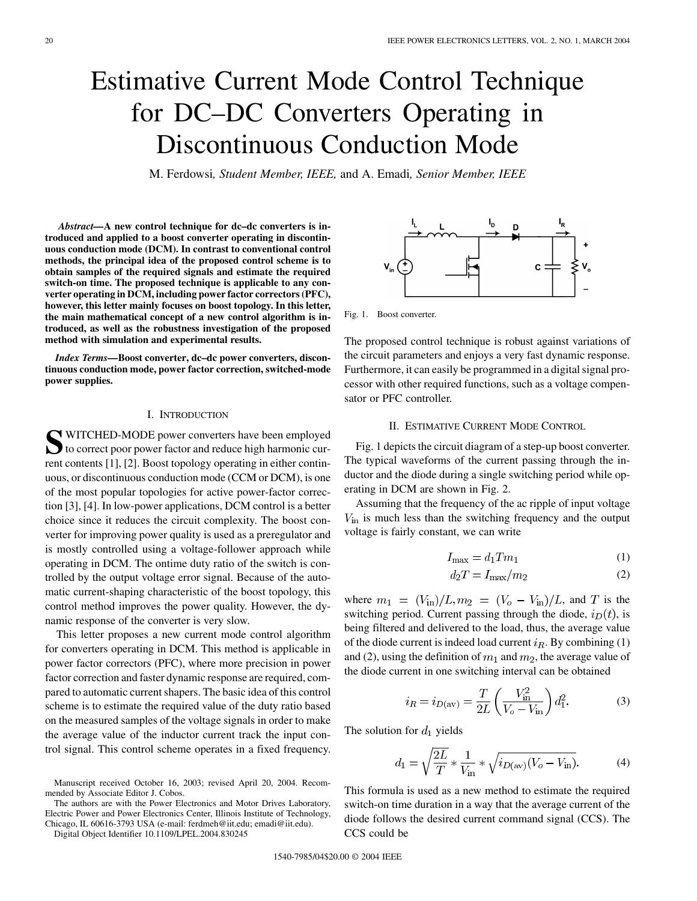# Estimative Current Mode Control Technique for DC–DC Converters Operating in Discontinuous Conduction Mode

M. Ferdowsi*, Student Member, IEEE,* and A. Emadi*, Senior Member, IEEE*

*Abstract—***A new control technique for dc–dc converters is introduced and applied to a boost converter operating in discontinuous conduction mode (DCM). In contrast to conventional control methods, the principal idea of the proposed control scheme is to obtain samples of the required signals and estimate the required switch-on time. The proposed technique is applicable to any converter operating in DCM, including power factor correctors (PFC), however, this letter mainly focuses on boost topology. In this letter, the main mathematical concept of a new control algorithm is introduced, as well as the robustness investigation of the proposed method with simulation and experimental results.**

*Index Terms—***Boost converter, dc–dc power converters, discontinuous conduction mode, power factor correction, switched-mode power supplies.**

#### I. INTRODUCTION

SUITCHED-MODE power converters have been employed<br>to correct poor power factor and reduce high harmonic current contents [[1\]](#page-4-0), [\[2](#page-4-0)]. Boost topology operating in either continuous, or discontinuous conduction mode (CCM or DCM), is one of the most popular topologies for active power-factor correction [[3\]](#page-4-0), [[4\]](#page-4-0). In low-power applications, DCM control is a better choice since it reduces the circuit complexity. The boost converter for improving power quality is used as a preregulator and is mostly controlled using a voltage-follower approach while operating in DCM. The ontime duty ratio of the switch is controlled by the output voltage error signal. Because of the automatic current-shaping characteristic of the boost topology, this control method improves the power quality. However, the dynamic response of the converter is very slow.

This letter proposes a new current mode control algorithm for converters operating in DCM. This method is applicable in power factor correctors (PFC), where more precision in power factor correction and faster dynamic response are required, compared to automatic current shapers. The basic idea of this control scheme is to estimate the required value of the duty ratio based on the measured samples of the voltage signals in order to make the average value of the inductor current track the input control signal. This control scheme operates in a fixed frequency.

Manuscript received October 16, 2003; revised April 20, 2004. Recommended by Associate Editor J. Cobos.

The authors are with the Power Electronics and Motor Drives Laboratory, Electric Power and Power Electronics Center, Illinois Institute of Technology, Chicago, IL 60616-3793 USA (e-mail: ferdmeh@iit.edu; emadi@iit.edu).

Digital Object Identifier 10.1109/LPEL.2004.830245

 $\mathbf{c}$ :

Fig. 1. Boost converter.

The proposed control technique is robust against variations of the circuit parameters and enjoys a very fast dynamic response. Furthermore, it can easily be programmed in a digital signal processor with other required functions, such as a voltage compensator or PFC controller.

# II. ESTIMATIVE CURRENT MODE CONTROL

Fig. 1 depicts the circuit diagram of a step-up boost converter. The typical waveforms of the current passing through the inductor and the diode during a single switching period while operating in DCM are shown in Fig. 2.

Assuming that the frequency of the ac ripple of input voltage  $V_{\text{in}}$  is much less than the switching frequency and the output voltage is fairly constant, we can write

$$
I_{\text{max}} = d_1 T m_1 \tag{1}
$$

$$
d_2T = I_{\text{max}}/m_2\tag{2}
$$

where  $m_1 = (V_{\text{in}})/L, m_2 = (V_o - V_{\text{in}})/L$ , and T is the switching period. Current passing through the diode,  $i_D(t)$ , is being filtered and delivered to the load, thus, the average value of the diode current is indeed load current  $i_R$ . By combining (1) and (2), using the definition of  $m_1$  and  $m_2$ , the average value of the diode current in one switching interval can be obtained

$$
i_R = i_{D(\text{av})} = \frac{T}{2L} \left( \frac{V_{\text{in}}^2}{V_o - V_{\text{in}}} \right) d_1^2. \tag{3}
$$

The solution for  $d_1$  yields

$$
d_1 = \sqrt{\frac{2L}{T}} * \frac{1}{V_{\text{in}}} * \sqrt{i_{D(\text{av})}(V_o - V_{\text{in}})}.
$$
 (4)

This formula is used as a new method to estimate the required switch-on time duration in a way that the average current of the diode follows the desired current command signal (CCS). The CCS could be

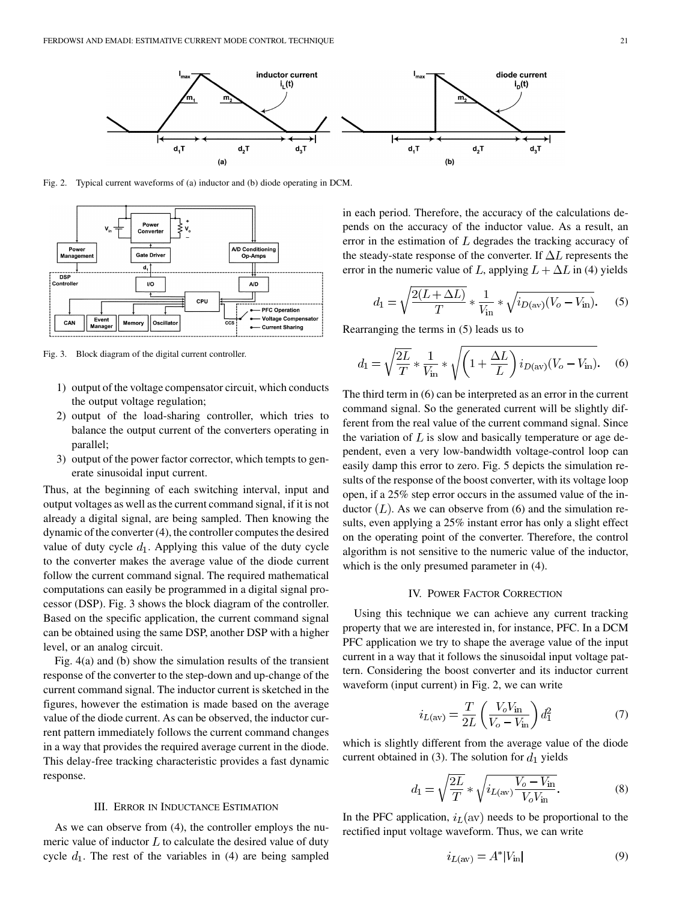

Fig. 2. Typical current waveforms of (a) inductor and (b) diode operating in DCM.



Fig. 3. Block diagram of the digital current controller.

- 1) output of the voltage compensator circuit, which conducts the output voltage regulation;
- 2) output of the load-sharing controller, which tries to balance the output current of the converters operating in parallel;
- 3) output of the power factor corrector, which tempts to generate sinusoidal input current.

Thus, at the beginning of each switching interval, input and output voltages as well as the current command signal, if it is not already a digital signal, are being sampled. Then knowing the dynamic of the converter (4), the controller computes the desired value of duty cycle  $d_1$ . Applying this value of the duty cycle to the converter makes the average value of the diode current follow the current command signal. The required mathematical computations can easily be programmed in a digital signal processor (DSP). Fig. 3 shows the block diagram of the controller. Based on the specific application, the current command signal can be obtained using the same DSP, another DSP with a higher level, or an analog circuit.

Fig. 4(a) and (b) show the simulation results of the transient response of the converter to the step-down and up-change of the current command signal. The inductor current is sketched in the figures, however the estimation is made based on the average value of the diode current. As can be observed, the inductor current pattern immediately follows the current command changes in a way that provides the required average current in the diode. This delay-free tracking characteristic provides a fast dynamic response.

# III. ERROR IN INDUCTANCE ESTIMATION

As we can observe from (4), the controller employs the numeric value of inductor  $L$  to calculate the desired value of duty cycle  $d_1$ . The rest of the variables in (4) are being sampled in each period. Therefore, the accuracy of the calculations depends on the accuracy of the inductor value. As a result, an error in the estimation of  $L$  degrades the tracking accuracy of the steady-state response of the converter. If  $\Delta L$  represents the error in the numeric value of L, applying  $L + \Delta L$  in (4) yields

$$
d_1 = \sqrt{\frac{2(L + \Delta L)}{T}} * \frac{1}{V_{\text{in}}} * \sqrt{i_{D(\text{av})}(V_o - V_{\text{in}})}.
$$
 (5)

Rearranging the terms in (5) leads us to

$$
d_1 = \sqrt{\frac{2L}{T}} * \frac{1}{V_{\text{in}}} * \sqrt{\left(1 + \frac{\Delta L}{L}\right) i_{D(\text{av})}(V_o - V_{\text{in}})}.
$$
 (6)

The third term in (6) can be interpreted as an error in the current command signal. So the generated current will be slightly different from the real value of the current command signal. Since the variation of  $L$  is slow and basically temperature or age dependent, even a very low-bandwidth voltage-control loop can easily damp this error to zero. Fig. 5 depicts the simulation results of the response of the boost converter, with its voltage loop open, if a 25% step error occurs in the assumed value of the inductor  $(L)$ . As we can observe from (6) and the simulation results, even applying a 25% instant error has only a slight effect on the operating point of the converter. Therefore, the control algorithm is not sensitive to the numeric value of the inductor, which is the only presumed parameter in (4).

### IV. POWER FACTOR CORRECTION

Using this technique we can achieve any current tracking property that we are interested in, for instance, PFC. In a DCM PFC application we try to shape the average value of the input current in a way that it follows the sinusoidal input voltage pattern. Considering the boost converter and its inductor current waveform (input current) in Fig. 2, we can write

$$
i_{L(\text{av})} = \frac{T}{2L} \left( \frac{V_o V_{\text{in}}}{V_o - V_{\text{in}}} \right) d_1^2 \tag{7}
$$

which is slightly different from the average value of the diode current obtained in (3). The solution for  $d_1$  yields

$$
d_1 = \sqrt{\frac{2L}{T}} * \sqrt{i_{L(\text{av})} \frac{V_o - V_{\text{in}}}{V_o V_{\text{in}}}}.
$$
 (8)

In the PFC application,  $i_L(\text{av})$  needs to be proportional to the rectified input voltage waveform. Thus, we can write

$$
i_{L(\text{av})} = A^* |V_{\text{in}}| \tag{9}
$$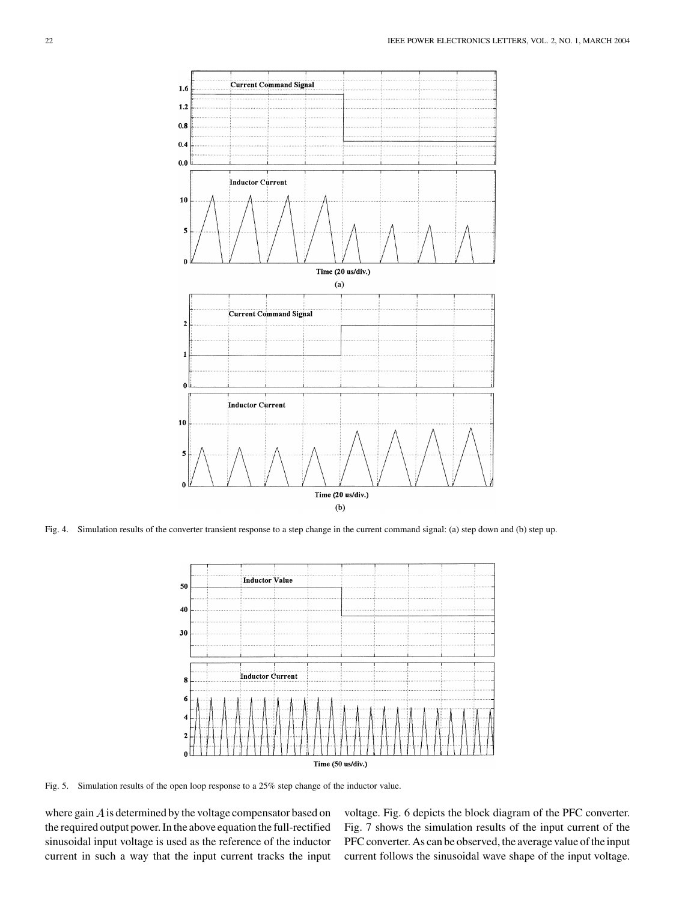

Fig. 4. Simulation results of the converter transient response to a step change in the current command signal: (a) step down and (b) step up.



Fig. 5. Simulation results of the open loop response to a 25% step change of the inductor value.

where gain  $A$  is determined by the voltage compensator based on the required output power. In the above equation the full-rectified sinusoidal input voltage is used as the reference of the inductor current in such a way that the input current tracks the input

voltage. Fig. 6 depicts the block diagram of the PFC converter. Fig. 7 shows the simulation results of the input current of the PFC converter. As can be observed, the average value of the input current follows the sinusoidal wave shape of the input voltage.